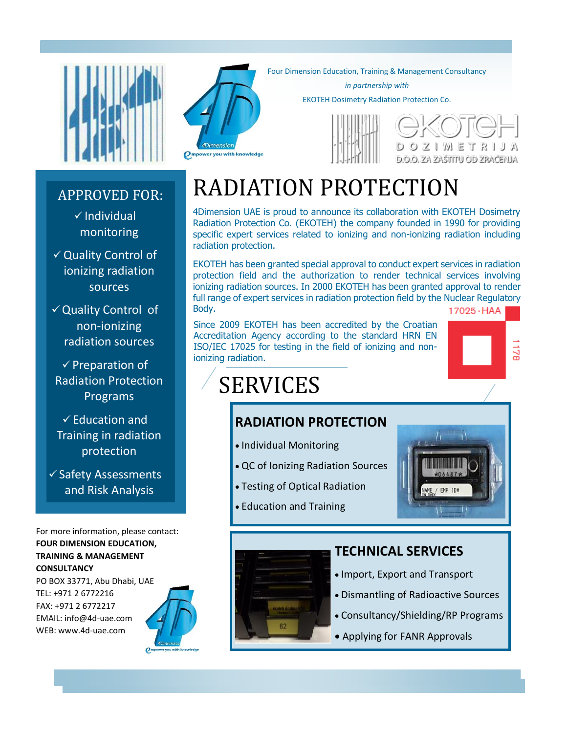

#### APPROVED FOR:

 $\checkmark$  Individual monitoring

 Quality Control of ionizing radiation sources

 $\checkmark$  Quality Control of non-ionizing radiation sources

 $\checkmark$  Preparation of Radiation Protection Programs

 $\checkmark$  Education and Training in radiation protection

 $\checkmark$  Safety Assessments and Risk Analysis

For more information, please contact: **FOUR DIMENSION EDUCATION, TRAINING & MANAGEMENT CONSULTANCY**

PO BOX 33771, Abu Dhabi, UAE TEL: +971 2 6772216 FAX: +971 2 6772217 EMAIL: info@4d-uae.com WEB: www.4d-uae.com





Four Dimension Education, Training & Management Consultancy

*in partnership with*

EKOTEH Dosimetry Radiation Protection Co.



 $M \n\equiv T \cdot R$  i D.O.O. ZA ZAŠTITU OD ZRAČENJA

## RADIATION PROTECTION

4Dimension UAE is proud to announce its collaboration with EKOTEH Dosimetry Radiation Protection Co. (EKOTEH) the company founded in 1990 for providing specific expert services related to ionizing and non-ionizing radiation including radiation protection.

EKOTEH has been granted special approval to conduct expert services in radiation protection field and the authorization to render technical services involving ionizing radiation sources. In 2000 EKOTEH has been granted approval to render full range of expert services in radiation protection field by the Nuclear Regulatory Body.  $17025 \cdot HAA$ 

Since 2009 EKOTEH has been accredited by the Croatian Accreditation Agency according to the standard HRN EN ISO/IEC 17025 for testing in the field of ionizing and nonionizing radiation.

# SERVICES

#### **RADIATION PROTECTION**

- Individual Monitoring
- QC of Ionizing Radiation Sources
- Testing of Optical Radiation
- Education and Training



 $\frac{1}{3}$ 

#### **TECHNICAL SERVICES**

- Import, Export and Transport
- Dismantling of Radioactive Sources
- Consultancy/Shielding/RP Programs
- Applying for FANR Approvals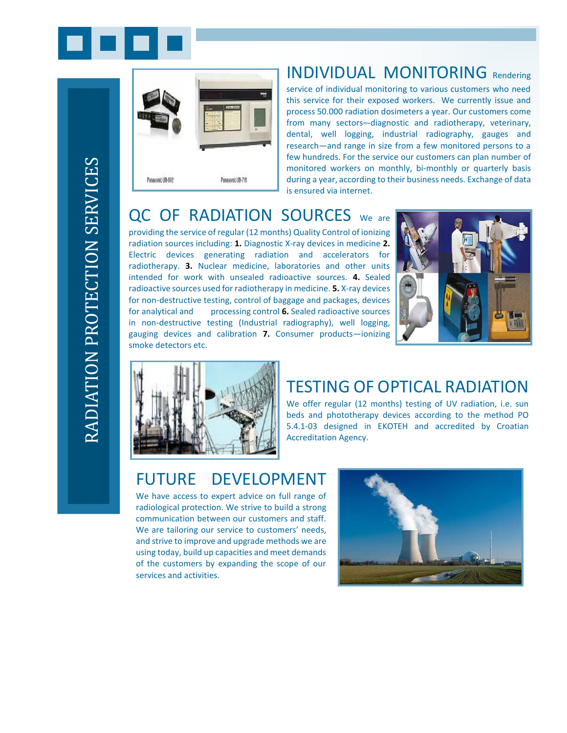



#### INDIVIDUAL MONITORING Rendering

service of individual monitoring to various customers who need this service for their exposed workers. We currently issue and process 50.000 radiation dosimeters a year. Our customers come from many sectors–-diagnostic and radiotherapy, veterinary, dental, well logging, industrial radiography, gauges and research—and range in size from a few monitored persons to a few hundreds. For the service our customers can plan number of monitored workers on monthly, bi-monthly or quarterly basis during a year, according to their business needs. Exchange of data is ensured via internet.

#### QC OF RADIATION SOURCES We are

providing the service of regular (12 months) Quality Control of ionizing radiation sources including: **1.** Diagnostic X-ray devices in medicine **2.**  Electric devices generating radiation and accelerators for radiotherapy. **3.** Nuclear medicine, laboratories and other units intended for work with unsealed radioactive sources. **4.** Sealed radioactive sources used for radiotherapy in medicine. **5.** X-ray devices for non-destructive testing, control of baggage and packages, devices for analytical and processing control **6.** Sealed radioactive sources in non-destructive testing (Industrial radiography), well logging, gauging devices and calibration **7.** Consumer products—ionizing smoke detectors etc.





#### TESTING OF OPTICAL RADIATION

We offer regular (12 months) testing of UV radiation, i.e. sun beds and phototherapy devices according to the method PO 5.4.1-03 designed in EKOTEH and accredited by Croatian Accreditation Agency.

#### FUTURE DEVELOPMENT

We have access to expert advice on full range of radiological protection. We strive to build a strong communication between our customers and staff. We are tailoring our service to customers' needs, and strive to improve and upgrade methods we are using today, build up capacities and meet demands of the customers by expanding the scope of our services and activities.